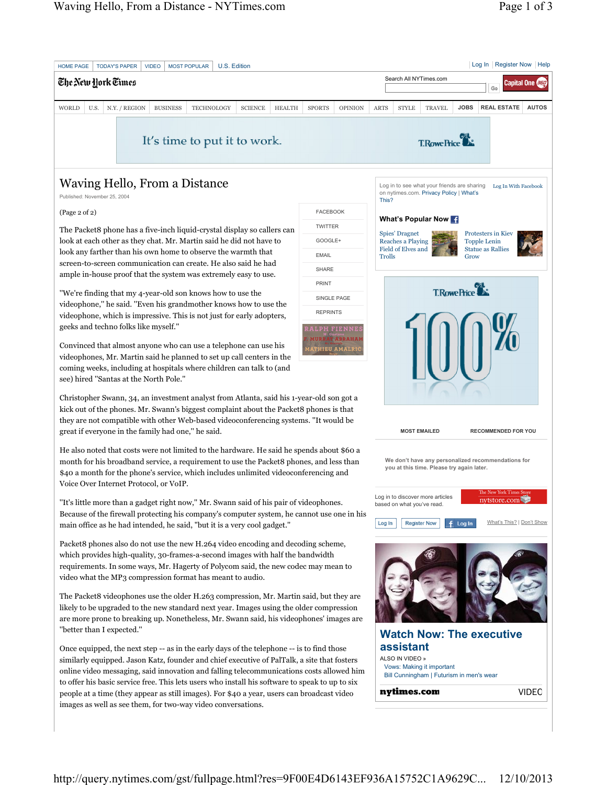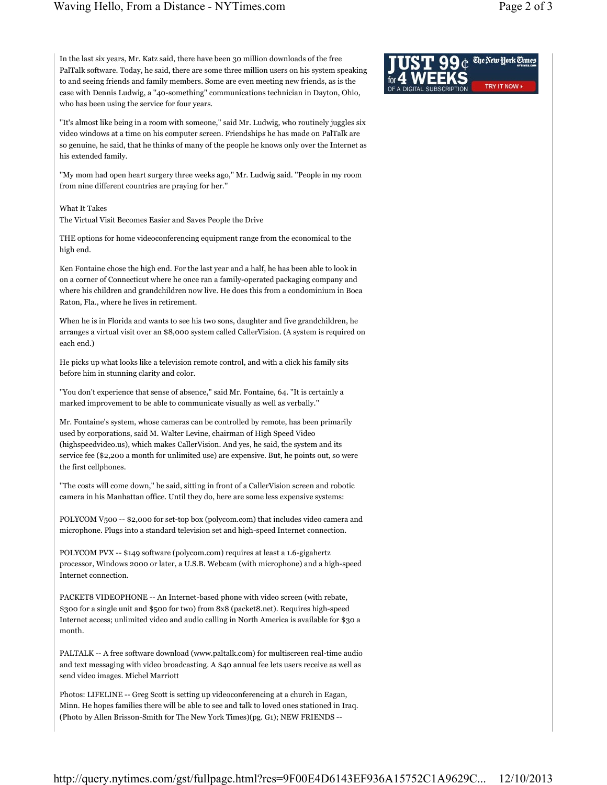The New York Time:

**TRY IT NOW** 

In the last six years, Mr. Katz said, there have been 30 million downloads of the free PalTalk software. Today, he said, there are some three million users on his system speaking to and seeing friends and family members. Some are even meeting new friends, as is the case with Dennis Ludwig, a ''40-something'' communications technician in Dayton, Ohio, who has been using the service for four years.

''It's almost like being in a room with someone,'' said Mr. Ludwig, who routinely juggles six video windows at a time on his computer screen. Friendships he has made on PalTalk are so genuine, he said, that he thinks of many of the people he knows only over the Internet as his extended family.

''My mom had open heart surgery three weeks ago,'' Mr. Ludwig said. ''People in my room from nine different countries are praying for her.''

## What It Takes

The Virtual Visit Becomes Easier and Saves People the Drive

THE options for home videoconferencing equipment range from the economical to the high end.

Ken Fontaine chose the high end. For the last year and a half, he has been able to look in on a corner of Connecticut where he once ran a family-operated packaging company and where his children and grandchildren now live. He does this from a condominium in Boca Raton, Fla., where he lives in retirement.

When he is in Florida and wants to see his two sons, daughter and five grandchildren, he arranges a virtual visit over an \$8,000 system called CallerVision. (A system is required on each end.)

He picks up what looks like a television remote control, and with a click his family sits before him in stunning clarity and color.

''You don't experience that sense of absence,'' said Mr. Fontaine, 64. ''It is certainly a marked improvement to be able to communicate visually as well as verbally.''

Mr. Fontaine's system, whose cameras can be controlled by remote, has been primarily used by corporations, said M. Walter Levine, chairman of High Speed Video (highspeedvideo.us), which makes CallerVision. And yes, he said, the system and its service fee (\$2,200 a month for unlimited use) are expensive. But, he points out, so were the first cellphones.

''The costs will come down,'' he said, sitting in front of a CallerVision screen and robotic camera in his Manhattan office. Until they do, here are some less expensive systems:

POLYCOM V500 -- \$2,000 for set-top box (polycom.com) that includes video camera and microphone. Plugs into a standard television set and high-speed Internet connection.

POLYCOM PVX -- \$149 software (polycom.com) requires at least a 1.6-gigahertz processor, Windows 2000 or later, a U.S.B. Webcam (with microphone) and a high-speed Internet connection.

PACKET8 VIDEOPHONE -- An Internet-based phone with video screen (with rebate, \$300 for a single unit and \$500 for two) from 8x8 (packet8.net). Requires high-speed Internet access; unlimited video and audio calling in North America is available for \$30 a month.

PALTALK -- A free software download (www.paltalk.com) for multiscreen real-time audio and text messaging with video broadcasting. A \$40 annual fee lets users receive as well as send video images. Michel Marriott

Photos: LIFELINE -- Greg Scott is setting up videoconferencing at a church in Eagan, Minn. He hopes families there will be able to see and talk to loved ones stationed in Iraq. (Photo by Allen Brisson-Smith for The New York Times)(pg. G1); NEW FRIENDS --